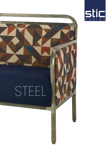

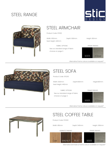### STEEL RANGE





### STEEL ARMCHAIR

See our standard range of fabric

Product Code: STE100

Width: 650mm Depth: 690mm Height: 810mm Seat Height: 440mm

choices on page 3.



Alternative frame colours available on request\*



### STEEL SOFA

Product Code: STE200

Width: 1300mm Depth:690mm Height:810mm Seat Height: 440mm

FABRIC OPTIONS FRAME FINISHES See our standard range of fabric choices on page 3.



Alternative frame colours available on request\*

# STEEL COFFEE TABLE

Product Code: STE300

Width: 815mm Depth: 545mm Height: 395mm

**LAMINATE FINISHES** FRAME FINISHES





Alternative laminate & frame colours available on request\*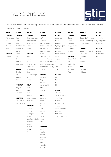### FABRIC CHOICES



This is just <sup>a</sup> selection of fabric options that we offer. If you require anything that is not listed below, please contact our sales team.

| <b>BANDA</b>   | <b>BAND B</b>        | <b>BAND C</b>             | <b>BAND D</b>              | <b>BANDE</b>      | <b>BANDF</b>         | <b>BANDF</b>                         | <b>BANDH</b>   |
|----------------|----------------------|---------------------------|----------------------------|-------------------|----------------------|--------------------------------------|----------------|
| <b>CAMIRA</b>  | <b>CAMIRA</b>        | <b>CAMIRA</b>             | <b>CAMIRA</b>              | <b>CAMIRA</b>     | <b>CAMIRA</b>        | <b>CAMIRA</b>                        | <b>CAMIRA</b>  |
| Advantage      | Canopy               | Halcyon Linden            | $24/7 +$                   | Aquarius          | Century              | Blazer Quilt Channel                 | Corrosion      |
| Era            | Chateau              | Honeycomb                 | $24/7$ Flax                | Blazer            | Code                 | Blazer Quilt Hourglass Synergy Quilt |                |
| Gravity        | Figaro               | Main Line Flax            | Halcyon Aspen              | Hebden            | Craggan              | Nettle Collection                    | Chevron        |
| Pheonix        | Main Line Plus       | Marvel                    | Halcyon Blossom            | Synergy Quilt     | Craggan Flax         |                                      |                |
| Rivet          | Manhattan            | Patina                    | Halcyon Cedar              | Hourglass         | Individuo            | <b>GABRIEL</b>                       | <b>GABRIEL</b> |
|                | Sprint               |                           | Halcyon Poplar             | Zig Zag           | <b>Stripes</b>       | Interglobe Wool 2                    | <b>Breeze</b>  |
| <b>GABRIEL</b> | Urban                | <b>GABRIEL</b>            | Hemp                       | Main Line Flax    |                      | Luna Fleur                           | Criss Cross    |
| Dragon         | Vita                 | <b>Bond</b>               | Intervene Plain            | Stripe            | <b>GABRIEL</b>       | Omega                                | Gaja +         |
|                | X2                   | Event                     | Intervene Texture          | Oxygen            | <b>Breeze Fusion</b> | Rhythm                               |                |
|                | Xtreme               | Fame                      | Landscape Balance Silk     |                   | Flex                 | Runner                               |                |
|                | Xtreme CS            | Gaja Classic              | Landscape Contact Touch FR |                   | Harlequin            |                                      |                |
|                |                      | Go Check                  | Landscape Synergy          | Track             | Infinity             | <b>AGUA</b>                          |                |
|                | <b>GABRIEL</b>       | Go Couture                | Synergy                    | Trail             | Moment               | Derrytex                             |                |
|                | Elevation            | Note                      |                            |                   | Web                  | Mistique                             |                |
|                | Go Uni               | Step Melange              | <b>GABRIEL</b>             | <b>GABRIEL</b>    |                      |                                      |                |
|                | Repetto              | String                    | Capture                    | Atlantic          |                      |                                      |                |
|                | Step                 | Tempt                     | Crisp                      | Felicity          |                      |                                      |                |
|                |                      |                           | Europost 2                 | Luna              |                      |                                      |                |
|                | <b>SUNBURY</b>       | <b>AGUA</b>               | Fame Hybrid                | Mood              |                      |                                      |                |
|                | Islington            | Aries                     | Fighter                    |                   |                      |                                      |                |
|                | Kariba               | Juno                      | Medley                     | <b>AGUA</b>       |                      |                                      |                |
|                | Sauvage              | Libra                     |                            | Alberta           |                      |                                      |                |
|                |                      | Linetta                   | <b>AGUA</b>                | Aura UV Solids    |                      |                                      |                |
|                | <b>CHIEFTAIN</b>     | Luna Scorpio              | Cashmir                    | Carmina           |                      |                                      |                |
|                | Just Colour          | Paint Pot                 | Evoke                      | Classic           |                      |                                      |                |
|                | <b>Just Patterns</b> |                           | Fushion                    | Furnisoft PU      |                      |                                      |                |
|                |                      | <b>SUNBURY</b>            | Nova                       | Oregon            |                      |                                      |                |
|                |                      | Chaps                     | Ocular                     | Stirata Illusions |                      |                                      |                |
|                |                      | Eames                     | Parody                     | Stretch           |                      |                                      |                |
|                |                      | Farringdon                | Sark                       | Snowdon           |                      |                                      |                |
|                |                      | Garda                     | Stirata                    | The 7 Collection  |                      |                                      |                |
|                |                      | Islington Metallic Taurus |                            |                   |                      |                                      |                |
|                |                      | Lingdale                  | Vistas                     |                   |                      |                                      |                |
|                |                      | Lugano                    |                            |                   |                      |                                      |                |
|                |                      | Sunhide                   | <b>SUNBURY</b>             |                   |                      |                                      |                |
|                |                      | Tahoe                     | Barton                     |                   |                      |                                      |                |
|                |                      | Toba                      | Darwin                     |                   |                      |                                      |                |
|                |                      |                           | Fleming                    |                   |                      |                                      |                |
|                |                      |                           | Jemison                    |                   |                      |                                      |                |
|                |                      |                           | Lana                       |                   |                      |                                      |                |
|                |                      |                           | Lister                     |                   |                      |                                      |                |
|                |                      |                           | Mardale                    |                   |                      |                                      |                |

Nubuck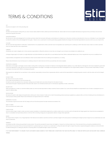## TERMS & CONDITIONS



#### VAT

All prices are subject to VAT at the prevailing rate.

#### ORDERS

All orders must be placed in writing with your colour choices clearly stated for fabrics, table top and framefinishes etc. Verbal orders will not be accepted. Manufacture of goods will only commence once we have received all required information.

#### ACKNOWLEDGEMENTS

We will issue an order acknowledgement for all written purchase orders that we receive. Although we will endeavour to interpret your instructions correctly, occasionally errors may occur. Ultimately, it is your responsibil to check the contents of the acknowledgement thoroughly - failure to do so could result in incorrect goods being supplied, therefore Stic Design will not be held responsible for any errors which occur as a result of this.

#### COLOURS

We will not be held responsible for rectification / replacements for any rejected items where customers have not requested colur swatches prior to ordering to confirm their exact colour match, nor where customers have not made clear their colour requirements.

#### CARRIAGE

All deliveries are made to tailgate only. It is the customers responsibility to offload the vehicle on arrival. We can arrange for your furniture to be installed at an additional cost.

Carriage charges apply to all orders to <sup>a</sup> singledestination and where deliveries are made within our usual delivery lead times. Where adedicated delivery day or time is required this may incur an additional cost.

If special delivery arrangements are tobe adhered to, these must be stated at the time of ordering and accepted by us in writing.

Please check dimensions of your furniture prior to ordering as returns for items that do not fit into your premises will not be accepted.

#### SHORTAGES & DAMAGES

Notifications of shortages or damages must be made in writing within 2 working days of reciept of of delivery to the designated delivery address on you order. Reports of damage etc will not be accepted for goods held in stock and delivered at <sup>a</sup> later date. We cannot be held responsible for damages or shortages oncethe goods havebeen transshipped from the original delivery address. It is the purchaser's responsibilty to unwrap and inspect all furniture within PRIOR to transhipping the goods.

Where goods are collected from our premises, it is the customer's responsibilty to ensure that an appropriate vehicle is used and the responsibility for loading the goods correctly is with the carrier and not Stic Design's staff.

#### PAYMENT TERMS

We welcome new accounts, however

1) First orders are processe<sup>d</sup> on <sup>a</sup> pro forma basis only.

2) Credit accounts are openen<sup>d</sup> at our discresion. Existing account holders terms are strictly <sup>30</sup> days from the date of invoice.

3) We reserve the right to request payment of the total order value for non standard products prior to manufacture, regardless of order / credit status.

#### DELIVERY DATE

Whilst we endeavour to meet our customers delivery date, we cannot be held responsible for delays caused by factors outside of our control. We are therefore not responsible for loss of trade or subsequent loss as a result of <sup>a</sup> delivery delay.

#### SPECIFICATIONS

We reserve the right to alter design and specifications without prior notice, however, if orders are to match those existing products previously supplied by us, please notify us at time of ordering and we will endeavour to match products where possible. Please note all dimensions are approximate and in millimetres.

#### OWNERSHIP OF GOODS

The ownership of goods shal remain with Stic Design until such time that paymen<sup>t</sup> has been received and cleared in full.

### MADE TO ORDER

All of our products are made to order

#### **CANCELLATIONS**

As the our entire range is made to order, we cannot accept cancellation or amendments except with our written consent and on our terms, which will indemnify Stic Design against loss. Goods that are acceptable for return or cancellation will automaticaly attract a minimum 25% re-stocking charge, plus an appropriate collection charge, where applicable.

#### IMAGES

Stic Design retains all rights on any image depicted in their literature and website. Customers are free to use these images for the sole purpose of advertising Stic Design's product range only. Any unauthorised use could result in prosecution.

#### WARRANTY

As standard we offer <sup>a</sup> three year guarantee for every product. The warranty excludes fair wear & tear, and neglect or misuse of our furniture while in situ. In the rare event that you should be unsatisfied with the preformance of any product that you have purchased from us, please report your concerns to our sales team in writing. We reserve the right to inspect the product, request photographic evidence or remove the item for external testing prior to making any decisions concerning offers of <sup>a</sup> possible exchage or repair of such items.

IT IS YOUR RESPONSIBILTY TO ENSURE YOUR CUSTOMER IS MADE AWARE OF ANY TERMS AND CONDITIONS THAT MAY BE APPLICABLE TO THEM (IN PARTICULAR OUR DELIVERY AND CARRIAGE TERMS).